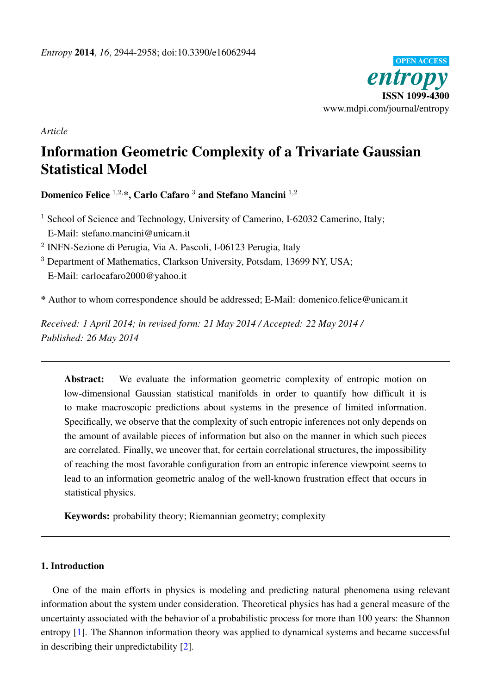

*Article*

# Information Geometric Complexity of a Trivariate Gaussian Statistical Model

Domenico Felice <sup>1,2,\*</sup>, Carlo Cafaro<sup>3</sup> and Stefano Mancini<sup>1,2</sup>

<sup>1</sup> School of Science and Technology, University of Camerino, I-62032 Camerino, Italy; E-Mail: stefano.mancini@unicam.it

2 INFN-Sezione di Perugia, Via A. Pascoli, I-06123 Perugia, Italy

<sup>3</sup> Department of Mathematics, Clarkson University, Potsdam, 13699 NY, USA; E-Mail: carlocafaro2000@yahoo.it

\* Author to whom correspondence should be addressed; E-Mail: domenico.felice@unicam.it

*Received: 1 April 2014; in revised form: 21 May 2014 / Accepted: 22 May 2014 / Published: 26 May 2014*

Abstract: We evaluate the information geometric complexity of entropic motion on low-dimensional Gaussian statistical manifolds in order to quantify how difficult it is to make macroscopic predictions about systems in the presence of limited information. Specifically, we observe that the complexity of such entropic inferences not only depends on the amount of available pieces of information but also on the manner in which such pieces are correlated. Finally, we uncover that, for certain correlational structures, the impossibility of reaching the most favorable configuration from an entropic inference viewpoint seems to lead to an information geometric analog of the well-known frustration effect that occurs in statistical physics.

Keywords: probability theory; Riemannian geometry; complexity

# 1. Introduction

One of the main efforts in physics is modeling and predicting natural phenomena using relevant information about the system under consideration. Theoretical physics has had a general measure of the uncertainty associated with the behavior of a probabilistic process for more than 100 years: the Shannon entropy [\[1\]](#page-13-0). The Shannon information theory was applied to dynamical systems and became successful in describing their unpredictability [\[2\]](#page-13-1).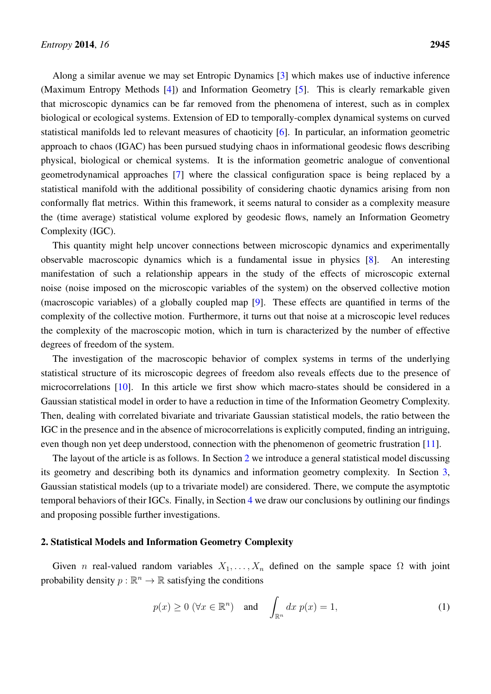Along a similar avenue we may set Entropic Dynamics [\[3\]](#page-13-2) which makes use of inductive inference (Maximum Entropy Methods [\[4\]](#page-13-3)) and Information Geometry [\[5\]](#page-13-4). This is clearly remarkable given that microscopic dynamics can be far removed from the phenomena of interest, such as in complex biological or ecological systems. Extension of ED to temporally-complex dynamical systems on curved statistical manifolds led to relevant measures of chaoticity [\[6\]](#page-13-5). In particular, an information geometric approach to chaos (IGAC) has been pursued studying chaos in informational geodesic flows describing physical, biological or chemical systems. It is the information geometric analogue of conventional geometrodynamical approaches [\[7\]](#page-13-6) where the classical configuration space is being replaced by a statistical manifold with the additional possibility of considering chaotic dynamics arising from non conformally flat metrics. Within this framework, it seems natural to consider as a complexity measure the (time average) statistical volume explored by geodesic flows, namely an Information Geometry Complexity (IGC).

This quantity might help uncover connections between microscopic dynamics and experimentally observable macroscopic dynamics which is a fundamental issue in physics [\[8\]](#page-13-7). An interesting manifestation of such a relationship appears in the study of the effects of microscopic external noise (noise imposed on the microscopic variables of the system) on the observed collective motion (macroscopic variables) of a globally coupled map [\[9\]](#page-13-8). These effects are quantified in terms of the complexity of the collective motion. Furthermore, it turns out that noise at a microscopic level reduces the complexity of the macroscopic motion, which in turn is characterized by the number of effective degrees of freedom of the system.

The investigation of the macroscopic behavior of complex systems in terms of the underlying statistical structure of its microscopic degrees of freedom also reveals effects due to the presence of microcorrelations [\[10\]](#page-13-9). In this article we first show which macro-states should be considered in a Gaussian statistical model in order to have a reduction in time of the Information Geometry Complexity. Then, dealing with correlated bivariate and trivariate Gaussian statistical models, the ratio between the IGC in the presence and in the absence of microcorrelations is explicitly computed, finding an intriguing, even though non yet deep understood, connection with the phenomenon of geometric frustration [\[11\]](#page-13-10).

The layout of the article is as follows. In Section [2](#page-1-0) we introduce a general statistical model discussing its geometry and describing both its dynamics and information geometry complexity. In Section [3,](#page-4-0) Gaussian statistical models (up to a trivariate model) are considered. There, we compute the asymptotic temporal behaviors of their IGCs. Finally, in Section [4](#page-11-0) we draw our conclusions by outlining our findings and proposing possible further investigations.

# <span id="page-1-0"></span>2. Statistical Models and Information Geometry Complexity

Given *n* real-valued random variables  $X_1, \ldots, X_n$  defined on the sample space  $\Omega$  with joint probability density  $p : \mathbb{R}^n \to \mathbb{R}$  satisfying the conditions

$$
p(x) \ge 0 \ (\forall x \in \mathbb{R}^n)
$$
 and  $\int_{\mathbb{R}^n} dx \ p(x) = 1,$  (1)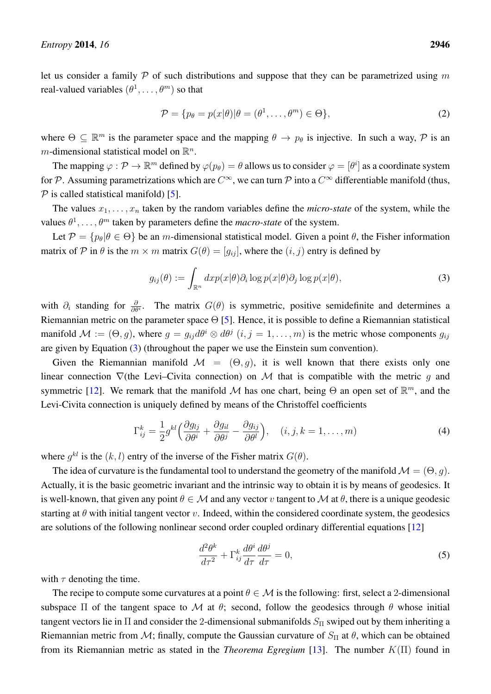let us consider a family  $P$  of such distributions and suppose that they can be parametrized using m real-valued variables  $(\theta^1, \dots, \theta^m)$  so that

$$
\mathcal{P} = \{ p_{\theta} = p(x|\theta) | \theta = (\theta^1, \dots, \theta^m) \in \Theta \},\tag{2}
$$

where  $\Theta \subseteq \mathbb{R}^m$  is the parameter space and the mapping  $\theta \to p_\theta$  is injective. In such a way,  $\mathcal P$  is an *m*-dimensional statistical model on  $\mathbb{R}^n$ .

The mapping  $\varphi : \mathcal{P} \to \mathbb{R}^m$  defined by  $\varphi(p_\theta) = \theta$  allows us to consider  $\varphi = [\theta^i]$  as a coordinate system for P. Assuming parametrizations which are  $C^{\infty}$ , we can turn P into a  $C^{\infty}$  differentiable manifold (thus,  $P$  is called statistical manifold) [\[5\]](#page-13-4).

The values  $x_1, \ldots, x_n$  taken by the random variables define the *micro-state* of the system, while the values  $\theta^1, \ldots, \theta^m$  taken by parameters define the *macro-state* of the system.

Let  $\mathcal{P} = \{p_\theta | \theta \in \Theta\}$  be an m-dimensional statistical model. Given a point  $\theta$ , the Fisher information matrix of P in  $\theta$  is the  $m \times m$  matrix  $G(\theta) = [g_{ij}]$ , where the  $(i, j)$  entry is defined by

<span id="page-2-0"></span>
$$
g_{ij}(\theta) := \int_{\mathbb{R}^n} dx p(x|\theta) \partial_i \log p(x|\theta) \partial_j \log p(x|\theta), \tag{3}
$$

with  $\partial_i$  standing for  $\frac{\partial}{\partial \theta^i}$ . The matrix  $G(\theta)$  is symmetric, positive semidefinite and determines a Riemannian metric on the parameter space  $\Theta$  [\[5\]](#page-13-4). Hence, it is possible to define a Riemannian statistical manifold  $\mathcal{M} := (\Theta, g)$ , where  $g = g_{ij} d\theta^i \otimes d\theta^j$   $(i, j = 1, \dots, m)$  is the metric whose components  $g_{ij}$ are given by Equation [\(3\)](#page-2-0) (throughout the paper we use the Einstein sum convention).

Given the Riemannian manifold  $\mathcal{M} = (\Theta, q)$ , it is well known that there exists only one linear connection  $\nabla$ (the Levi–Civita connection) on M that is compatible with the metric q and symmetric [\[12\]](#page-13-11). We remark that the manifold M has one chart, being  $\Theta$  an open set of  $\mathbb{R}^m$ , and the Levi-Civita connection is uniquely defined by means of the Christoffel coefficients

<span id="page-2-2"></span>
$$
\Gamma_{ij}^k = \frac{1}{2} g^{kl} \left( \frac{\partial g_{lj}}{\partial \theta^i} + \frac{\partial g_{il}}{\partial \theta^j} - \frac{\partial g_{ij}}{\partial \theta^l} \right), \quad (i, j, k = 1, \dots, m)
$$
 (4)

where  $g^{kl}$  is the  $(k, l)$  entry of the inverse of the Fisher matrix  $G(\theta)$ .

The idea of curvature is the fundamental tool to understand the geometry of the manifold  $\mathcal{M} = (\Theta, q)$ . Actually, it is the basic geometric invariant and the intrinsic way to obtain it is by means of geodesics. It is well-known, that given any point  $\theta \in \mathcal{M}$  and any vector v tangent to M at  $\theta$ , there is a unique geodesic starting at  $\theta$  with initial tangent vector v. Indeed, within the considered coordinate system, the geodesics are solutions of the following nonlinear second order coupled ordinary differential equations [\[12\]](#page-13-11)

<span id="page-2-1"></span>
$$
\frac{d^2\theta^k}{d\tau^2} + \Gamma^k_{ij}\frac{d\theta^i}{d\tau}\frac{d\theta^j}{d\tau} = 0,\tag{5}
$$

with  $\tau$  denoting the time.

The recipe to compute some curvatures at a point  $\theta \in \mathcal{M}$  is the following: first, select a 2-dimensional subspace  $\Pi$  of the tangent space to M at  $\theta$ ; second, follow the geodesics through  $\theta$  whose initial tangent vectors lie in  $\Pi$  and consider the 2-dimensional submanifolds  $S_{\Pi}$  swiped out by them inheriting a Riemannian metric from M; finally, compute the Gaussian curvature of  $S_{\Pi}$  at  $\theta$ , which can be obtained from its Riemannian metric as stated in the *Theorema Egregium* [\[13\]](#page-13-12). The number K(Π) found in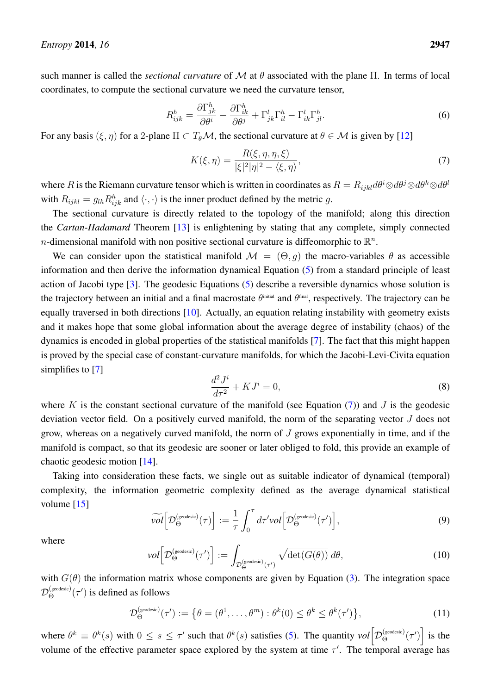such manner is called the *sectional curvature* of  $\mathcal M$  at  $\theta$  associated with the plane  $\Pi$ . In terms of local coordinates, to compute the sectional curvature we need the curvature tensor,

$$
R_{ijk}^h = \frac{\partial \Gamma_{jk}^h}{\partial \theta^i} - \frac{\partial \Gamma_{ik}^h}{\partial \theta^j} + \Gamma_{jk}^l \Gamma_{il}^h - \Gamma_{ik}^l \Gamma_{jl}^h.
$$
 (6)

For any basis  $(\xi, \eta)$  for a 2-plane  $\Pi \subset T_{\theta} \mathcal{M}$ , the sectional curvature at  $\theta \in \mathcal{M}$  is given by [\[12\]](#page-13-11)

<span id="page-3-0"></span>
$$
K(\xi, \eta) = \frac{R(\xi, \eta, \eta, \xi)}{|\xi|^2 |\eta|^2 - \langle \xi, \eta \rangle},\tag{7}
$$

where R is the Riemann curvature tensor which is written in coordinates as  $R = R_{ijkl} d\theta^i \otimes d\theta^j \otimes d\theta^k \otimes d\theta^l$ with  $R_{ijkl} = g_{lh} R_{ijk}^h$  and  $\langle \cdot, \cdot \rangle$  is the inner product defined by the metric g.

The sectional curvature is directly related to the topology of the manifold; along this direction the *Cartan-Hadamard* Theorem [\[13\]](#page-13-12) is enlightening by stating that any complete, simply connected *n*-dimensional manifold with non positive sectional curvature is diffeomorphic to  $\mathbb{R}^n$ .

We can consider upon the statistical manifold  $\mathcal{M} = (\Theta, q)$  the macro-variables  $\theta$  as accessible information and then derive the information dynamical Equation [\(5\)](#page-2-1) from a standard principle of least action of Jacobi type [\[3\]](#page-13-2). The geodesic Equations [\(5\)](#page-2-1) describe a reversible dynamics whose solution is the trajectory between an initial and a final macrostate  $\theta^{\text{initial}}$  and  $\theta^{\text{final}}$ , respectively. The trajectory can be equally traversed in both directions [\[10\]](#page-13-9). Actually, an equation relating instability with geometry exists and it makes hope that some global information about the average degree of instability (chaos) of the dynamics is encoded in global properties of the statistical manifolds [\[7\]](#page-13-6). The fact that this might happen is proved by the special case of constant-curvature manifolds, for which the Jacobi-Levi-Civita equation simplifies to [\[7\]](#page-13-6)

$$
\frac{d^2J^i}{d\tau^2} + KJ^i = 0,\t\t(8)
$$

where K is the constant sectional curvature of the manifold (see Equation  $(7)$ ) and J is the geodesic deviation vector field. On a positively curved manifold, the norm of the separating vector J does not grow, whereas on a negatively curved manifold, the norm of  $J$  grows exponentially in time, and if the manifold is compact, so that its geodesic are sooner or later obliged to fold, this provide an example of chaotic geodesic motion [\[14\]](#page-14-0).

Taking into consideration these facts, we single out as suitable indicator of dynamical (temporal) complexity, the information geometric complexity defined as the average dynamical statistical volume  $[15]$ 

<span id="page-3-2"></span>
$$
\widetilde{\mathit{vol}}\Big[D_{\Theta}^{\text{(geodesic)}}(\tau)\Big] := \frac{1}{\tau} \int_0^\tau d\tau' \mathit{vol}\Big[D_{\Theta}^{\text{(geodesic)}}(\tau')\Big],\tag{9}
$$

where

<span id="page-3-1"></span>
$$
vol\Big[D_{\Theta}^{(\text{geodesic})}(\tau')\Big] := \int_{\mathcal{D}_{\Theta}^{(\text{geodesic})}(\tau')} \sqrt{\det(G(\theta))} \, d\theta,\tag{10}
$$

with  $G(\theta)$  the information matrix whose components are given by Equation [\(3\)](#page-2-0). The integration space  $\mathcal{D}_{\Theta}^{(\text{geodesic})}(\tau')$  is defined as follows

$$
\mathcal{D}_{\Theta}^{(\text{geodesic})}(\tau') := \left\{ \theta = (\theta^1, \dots, \theta^m) : \theta^k(0) \le \theta^k \le \theta^k(\tau') \right\},\tag{11}
$$

where  $\theta^k \equiv \theta^k(s)$  with  $0 \le s \le \tau'$  such that  $\theta^k(s)$  satisfies [\(5\)](#page-2-1). The quantity  $vol \Big[ \mathcal{D}_{\Theta}^{(geodesic)}(\tau') \Big]$  is the volume of the effective parameter space explored by the system at time  $\tau'$ . The temporal average has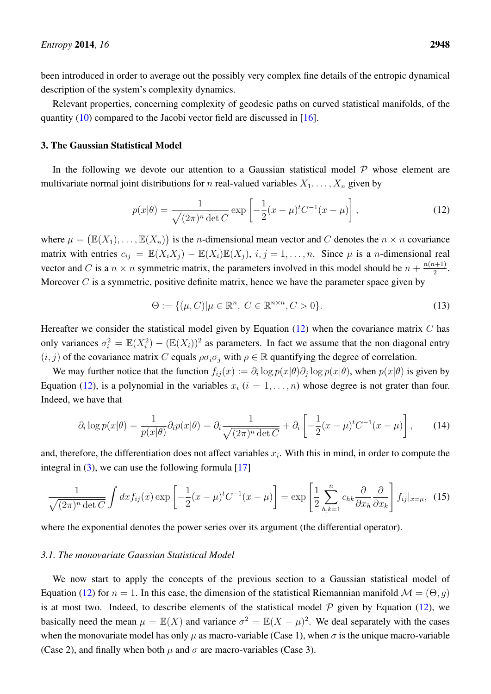been introduced in order to average out the possibly very complex fine details of the entropic dynamical description of the system's complexity dynamics.

Relevant properties, concerning complexity of geodesic paths on curved statistical manifolds, of the quantity [\(10\)](#page-3-1) compared to the Jacobi vector field are discussed in [\[16\]](#page-14-2).

#### <span id="page-4-0"></span>3. The Gaussian Statistical Model

In the following we devote our attention to a Gaussian statistical model  $P$  whose element are multivariate normal joint distributions for *n* real-valued variables  $X_1, \ldots, X_n$  given by

<span id="page-4-1"></span>
$$
p(x|\theta) = \frac{1}{\sqrt{(2\pi)^n \det C}} \exp\left[-\frac{1}{2}(x-\mu)^t C^{-1}(x-\mu)\right],
$$
 (12)

where  $\mu = (\mathbb{E}(X_1), \dots, \mathbb{E}(X_n))$  is the *n*-dimensional mean vector and C denotes the  $n \times n$  covariance matrix with entries  $c_{ij} = \mathbb{E}(X_i X_j) - \mathbb{E}(X_i) \mathbb{E}(X_j)$ ,  $i, j = 1, ..., n$ . Since  $\mu$  is a *n*-dimensional real vector and C is a  $n \times n$  symmetric matrix, the parameters involved in this model should be  $n + \frac{n(n+1)}{2}$  $\frac{i+1j}{2}$ . Moreover  $C$  is a symmetric, positive definite matrix, hence we have the parameter space given by

<span id="page-4-4"></span>
$$
\Theta := \{ (\mu, C) | \mu \in \mathbb{R}^n, C \in \mathbb{R}^{n \times n}, C > 0 \}. \tag{13}
$$

Hereafter we consider the statistical model given by Equation  $(12)$  when the covariance matrix C has only variances  $\sigma_i^2 = \mathbb{E}(X_i^2) - (\mathbb{E}(X_i))^2$  as parameters. In fact we assume that the non diagonal entry  $(i, j)$  of the covariance matrix C equals  $\rho \sigma_i \sigma_j$  with  $\rho \in \mathbb{R}$  quantifying the degree of correlation.

We may further notice that the function  $f_{ij}(x) := \partial_i \log p(x|\theta) \partial_j \log p(x|\theta)$ , when  $p(x|\theta)$  is given by Equation [\(12\)](#page-4-1), is a polynomial in the variables  $x_i$  ( $i = 1, \ldots, n$ ) whose degree is not grater than four. Indeed, we have that

$$
\partial_i \log p(x|\theta) = \frac{1}{p(x|\theta)} \partial_i p(x|\theta) = \partial_i \frac{1}{\sqrt{(2\pi)^n \det C}} + \partial_i \left[ -\frac{1}{2} (x - \mu)^t C^{-1} (x - \mu) \right],\tag{14}
$$

and, therefore, the differentiation does not affect variables  $x_i$ . With this in mind, in order to compute the integral in  $(3)$ , we can use the following formula [\[17\]](#page-14-3)

<span id="page-4-3"></span>
$$
\frac{1}{\sqrt{(2\pi)^n \det C}} \int dx f_{ij}(x) \exp\left[-\frac{1}{2}(x-\mu)^t C^{-1}(x-\mu)\right] = \exp\left[\frac{1}{2} \sum_{h,k=1}^n c_{hk} \frac{\partial}{\partial x_h} \frac{\partial}{\partial x_k}\right] f_{ij}|_{x=\mu}, \tag{15}
$$

where the exponential denotes the power series over its argument (the differential operator).

#### <span id="page-4-2"></span>*3.1. The monovariate Gaussian Statistical Model*

We now start to apply the concepts of the previous section to a Gaussian statistical model of Equation [\(12\)](#page-4-1) for  $n = 1$ . In this case, the dimension of the statistical Riemannian manifold  $\mathcal{M} = (\Theta, q)$ is at most two. Indeed, to describe elements of the statistical model  $P$  given by Equation [\(12\)](#page-4-1), we basically need the mean  $\mu = \mathbb{E}(X)$  and variance  $\sigma^2 = \mathbb{E}(X - \mu)^2$ . We deal separately with the cases when the monovariate model has only  $\mu$  as macro-variable (Case 1), when  $\sigma$  is the unique macro-variable (Case 2), and finally when both  $\mu$  and  $\sigma$  are macro-variables (Case 3).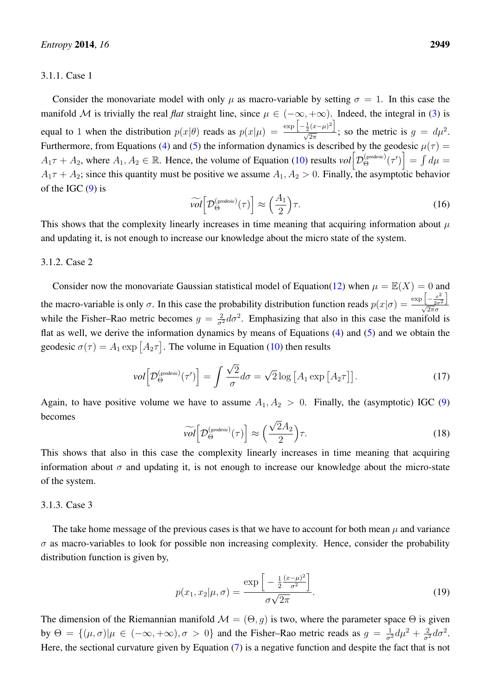#### 3.1.1. Case 1

Consider the monovariate model with only  $\mu$  as macro-variable by setting  $\sigma = 1$ . In this case the manifold M is trivially the real *flat* straight line, since  $\mu \in (-\infty, +\infty)$ . Indeed, the integral in [\(3\)](#page-2-0) is equal to 1 when the distribution  $p(x|\theta)$  reads as  $p(x|\mu) = \frac{\exp \left[-\frac{1}{2}(x-\mu)^2\right]}{\sqrt{2\pi}}$ ; so the metric is  $g = d\mu^2$ . Furthermore, from Equations [\(4\)](#page-2-2) and [\(5\)](#page-2-1) the information dynamics is described by the geodesic  $\mu(\tau)$  $A_1\tau + A_2$ , where  $A_1, A_2 \in \mathbb{R}$ . Hence, the volume of Equation [\(10\)](#page-3-1) results  $vol \Big[ \mathcal{D}_{\Theta}^{(geodesic)}(\tau') \Big] = \int d\mu =$  $A_1\tau + A_2$ ; since this quantity must be positive we assume  $A_1, A_2 > 0$ . Finally, the asymptotic behavior of the IGC  $(9)$  is

<span id="page-5-0"></span>
$$
\widetilde{\mathit{vol}}\Big[\mathcal{D}_{\Theta}^{\text{(geodesic)}}(\tau)\Big] \approx \left(\frac{A_1}{2}\right)\tau.
$$
\n(16)

This shows that the complexity linearly increases in time meaning that acquiring information about  $\mu$ and updating it, is not enough to increase our knowledge about the micro state of the system.

#### 3.1.2. Case 2

Consider now the monovariate Gaussian statistical model of Equation[\(12\)](#page-4-1) when  $\mu = \mathbb{E}(X) = 0$  and the macro-variable is only  $\sigma$ . In this case the probability distribution function reads  $p(x|\sigma) = \frac{\exp\left[-\frac{x^2}{2\sigma^2}\right]}{\sqrt{2\pi}\sigma^2}$  $\sqrt{2\pi\sigma^2}\over \sqrt{2\pi}\sigma^2$ while the Fisher–Rao metric becomes  $g = \frac{2}{\sigma^2} d\sigma^2$ . Emphasizing that also in this case the manifold is flat as well, we derive the information dynamics by means of Equations [\(4\)](#page-2-2) and [\(5\)](#page-2-1) and we obtain the geodesic  $\sigma(\tau) = A_1 \exp \left[A_2 \tau\right]$ . The volume in Equation [\(10\)](#page-3-1) then results

$$
vol\Big[\mathcal{D}_{\Theta}^{\text{(geodesic)}}(\tau')\Big] = \int \frac{\sqrt{2}}{\sigma} d\sigma = \sqrt{2} \log\big[A_1 \exp\big[A_2 \tau\big]\big].\tag{17}
$$

Again, to have positive volume we have to assume  $A_1, A_2 > 0$ . Finally, the (asymptotic) IGC [\(9\)](#page-3-2) becomes

<span id="page-5-1"></span>
$$
\widetilde{\text{vol}}\Big[\mathcal{D}_{\Theta}^{\text{(geodesic)}}(\tau)\Big] \approx \left(\frac{\sqrt{2}A_2}{2}\right)\tau. \tag{18}
$$

This shows that also in this case the complexity linearly increases in time meaning that acquiring information about  $\sigma$  and updating it, is not enough to increase our knowledge about the micro-state of the system.

#### 3.1.3. Case 3

The take home message of the previous cases is that we have to account for both mean  $\mu$  and variance  $\sigma$  as macro-variables to look for possible non increasing complexity. Hence, consider the probability distribution function is given by,

$$
p(x_1, x_2 | \mu, \sigma) = \frac{\exp\left[-\frac{1}{2} \frac{(x-\mu)^2}{\sigma^2}\right]}{\sigma \sqrt{2\pi}}.
$$
\n(19)

The dimension of the Riemannian manifold  $\mathcal{M} = (\Theta, g)$  is two, where the parameter space  $\Theta$  is given by  $\Theta = \{(\mu, \sigma) | \mu \in (-\infty, +\infty), \sigma > 0\}$  and the Fisher–Rao metric reads as  $g = \frac{1}{\sigma^2} d\mu^2 + \frac{2}{\sigma^2} d\sigma^2$ . Here, the sectional curvature given by Equation [\(7\)](#page-3-0) is a negative function and despite the fact that is not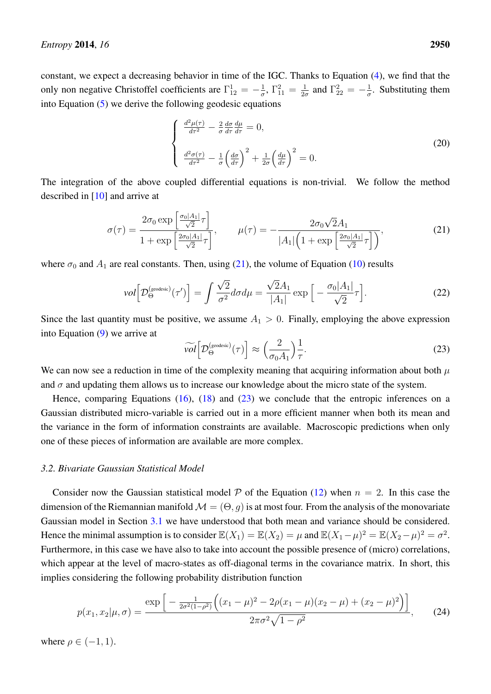constant, we expect a decreasing behavior in time of the IGC. Thanks to Equation [\(4\)](#page-2-2), we find that the only non negative Christoffel coefficients are  $\Gamma_{12}^1 = -\frac{1}{\sigma}$  $\frac{1}{\sigma}$ ,  $\Gamma_{11}^2 = \frac{1}{2\sigma}$  $\frac{1}{2\sigma}$  and  $\Gamma_{22}^2 = -\frac{1}{\sigma}$  $\frac{1}{\sigma}$ . Substituting them into Equation [\(5\)](#page-2-1) we derive the following geodesic equations

$$
\begin{cases}\n\frac{d^2\mu(\tau)}{d\tau^2} - \frac{2}{\sigma} \frac{d\sigma}{d\tau} \frac{d\mu}{d\tau} = 0, \\
\frac{d^2\sigma(\tau)}{d\tau^2} - \frac{1}{\sigma} \left(\frac{d\sigma}{d\tau}\right)^2 + \frac{1}{2\sigma} \left(\frac{d\mu}{d\tau}\right)^2 = 0.\n\end{cases}
$$
\n(20)

The integration of the above coupled differential equations is non-trivial. We follow the method described in [\[10\]](#page-13-9) and arrive at

<span id="page-6-0"></span>
$$
\sigma(\tau) = \frac{2\sigma_0 \exp\left[\frac{\sigma_0 |A_1|}{\sqrt{2}} \tau\right]}{1 + \exp\left[\frac{2\sigma_0 |A_1|}{\sqrt{2}} \tau\right]}, \qquad \mu(\tau) = -\frac{2\sigma_0 \sqrt{2}A_1}{|A_1|\left(1 + \exp\left[\frac{2\sigma_0 |A_1|}{\sqrt{2}} \tau\right]\right)},\tag{21}
$$

where  $\sigma_0$  and  $A_1$  are real constants. Then, using [\(21\)](#page-6-0), the volume of Equation [\(10\)](#page-3-1) results

$$
vol\left[\mathcal{D}_{\Theta}^{(\text{geodesic})}(\tau')\right] = \int \frac{\sqrt{2}}{\sigma^2} d\sigma d\mu = \frac{\sqrt{2}A_1}{|A_1|} \exp\left[-\frac{\sigma_0|A_1|}{\sqrt{2}}\tau\right].\tag{22}
$$

Since the last quantity must be positive, we assume  $A_1 > 0$ . Finally, employing the above expression into Equation [\(9\)](#page-3-2) we arrive at

<span id="page-6-1"></span>
$$
\widetilde{\mathit{vol}}\Big[\mathcal{D}_{\Theta}^{\text{(geodesic)}}(\tau)\Big] \approx \Big(\frac{2}{\sigma_0 A_1}\Big)\frac{1}{\tau}.\tag{23}
$$

We can now see a reduction in time of the complexity meaning that acquiring information about both  $\mu$ and  $\sigma$  and updating them allows us to increase our knowledge about the micro state of the system.

Hence, comparing Equations  $(16)$ ,  $(18)$  and  $(23)$  we conclude that the entropic inferences on a Gaussian distributed micro-variable is carried out in a more efficient manner when both its mean and the variance in the form of information constraints are available. Macroscopic predictions when only one of these pieces of information are available are more complex.

#### <span id="page-6-2"></span>*3.2. Bivariate Gaussian Statistical Model*

Consider now the Gaussian statistical model  $P$  of the Equation [\(12\)](#page-4-1) when  $n = 2$ . In this case the dimension of the Riemannian manifold  $\mathcal{M} = (\Theta, q)$  is at most four. From the analysis of the monovariate Gaussian model in Section [3.1](#page-4-2) we have understood that both mean and variance should be considered. Hence the minimal assumption is to consider  $\mathbb{E}(X_1) = \mathbb{E}(X_2) = \mu$  and  $\mathbb{E}(X_1 - \mu)^2 = \mathbb{E}(X_2 - \mu)^2 = \sigma^2$ . Furthermore, in this case we have also to take into account the possible presence of (micro) correlations, which appear at the level of macro-states as off-diagonal terms in the covariance matrix. In short, this implies considering the following probability distribution function

$$
p(x_1, x_2 | \mu, \sigma) = \frac{\exp\left[-\frac{1}{2\sigma^2(1-\rho^2)} \left((x_1 - \mu)^2 - 2\rho(x_1 - \mu)(x_2 - \mu) + (x_2 - \mu)^2\right)\right]}{2\pi\sigma^2\sqrt{1-\rho^2}},
$$
(24)

where  $\rho \in (-1, 1)$ .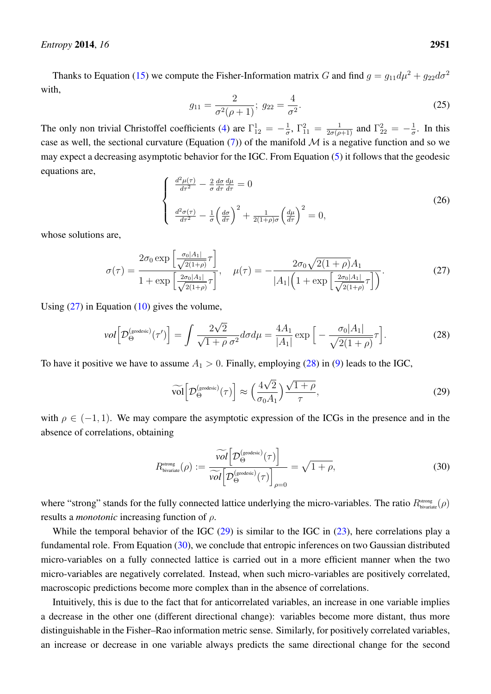Thanks to Equation [\(15\)](#page-4-3) we compute the Fisher-Information matrix G and find  $g = g_{11}d\mu^2 + g_{22}d\sigma^2$ with,

$$
g_{11} = \frac{2}{\sigma^2(\rho + 1)}; \ g_{22} = \frac{4}{\sigma^2}.
$$
 (25)

The only non trivial Christoffel coefficients [\(4\)](#page-2-2) are  $\Gamma_{12}^1 = -\frac{1}{\sigma}$  $\frac{1}{\sigma}$ ,  $\Gamma_{11}^2 = \frac{1}{2\sigma(\rho+1)}$  and  $\Gamma_{22}^2 = -\frac{1}{\sigma}$  $\frac{1}{\sigma}$ . In this case as well, the sectional curvature (Equation [\(7\)](#page-3-0)) of the manifold  $\mathcal M$  is a negative function and so we may expect a decreasing asymptotic behavior for the IGC. From Equation [\(5\)](#page-2-1) it follows that the geodesic equations are,

$$
\begin{cases}\n\frac{d^2\mu(\tau)}{d\tau^2} - \frac{2}{\sigma} \frac{d\sigma}{d\tau} \frac{d\mu}{d\tau} = 0 \\
\frac{d^2\sigma(\tau)}{d\tau^2} - \frac{1}{\sigma} \left(\frac{d\sigma}{d\tau}\right)^2 + \frac{1}{2(1+\rho)\sigma} \left(\frac{d\mu}{d\tau}\right)^2 = 0,\n\end{cases}
$$
\n(26)

whose solutions are,

<span id="page-7-0"></span>
$$
\sigma(\tau) = \frac{2\sigma_0 \exp\left[\frac{\sigma_0 |A_1|}{\sqrt{2(1+\rho)}} \tau\right]}{1 + \exp\left[\frac{2\sigma_0 |A_1|}{\sqrt{2(1+\rho)}} \tau\right]}, \quad \mu(\tau) = -\frac{2\sigma_0 \sqrt{2(1+\rho)} A_1}{|A_1| \left(1 + \exp\left[\frac{2\sigma_0 |A_1|}{\sqrt{2(1+\rho)}} \tau\right]\right)}.
$$
(27)

Using  $(27)$  in Equation  $(10)$  gives the volume,

<span id="page-7-1"></span>
$$
vol\left[\mathcal{D}_{\Theta}^{(\text{geodesic})}(\tau')\right] = \int \frac{2\sqrt{2}}{\sqrt{1+\rho}\,\sigma^2} d\sigma d\mu = \frac{4A_1}{|A_1|} \exp\Big[-\frac{\sigma_0|A_1|}{\sqrt{2(1+\rho)}}\tau\Big].\tag{28}
$$

To have it positive we have to assume  $A_1 > 0$ . Finally, employing [\(28\)](#page-7-1) in [\(9\)](#page-3-2) leads to the IGC,

<span id="page-7-2"></span>
$$
\widetilde{\text{vol}}\left[\mathcal{D}_{\Theta}^{\text{(geodesic)}}(\tau)\right] \approx \left(\frac{4\sqrt{2}}{\sigma_0 A_1}\right) \frac{\sqrt{1+\rho}}{\tau},\tag{29}
$$

with  $\rho \in (-1, 1)$ . We may compare the asymptotic expression of the ICGs in the presence and in the absence of correlations, obtaining

<span id="page-7-3"></span>
$$
R_{\text{bivariate}}^{\text{strong}}(\rho) := \frac{\widetilde{vol}\Big[D_{\Theta}^{\text{(geodesic)}}(\tau)\Big]}{\widetilde{vol}\Big[D_{\Theta}^{\text{(geodesic)}}(\tau)\Big]_{\rho=0}} = \sqrt{1+\rho},\tag{30}
$$

where "strong" stands for the fully connected lattice underlying the micro-variables. The ratio  $R_{\text{bivariate}}^{\text{strong}}(\rho)$ results a *monotonic* increasing function of ρ.

While the temporal behavior of the IGC  $(29)$  is similar to the IGC in  $(23)$ , here correlations play a fundamental role. From Equation [\(30\)](#page-7-3), we conclude that entropic inferences on two Gaussian distributed micro-variables on a fully connected lattice is carried out in a more efficient manner when the two micro-variables are negatively correlated. Instead, when such micro-variables are positively correlated, macroscopic predictions become more complex than in the absence of correlations.

Intuitively, this is due to the fact that for anticorrelated variables, an increase in one variable implies a decrease in the other one (different directional change): variables become more distant, thus more distinguishable in the Fisher–Rao information metric sense. Similarly, for positively correlated variables, an increase or decrease in one variable always predicts the same directional change for the second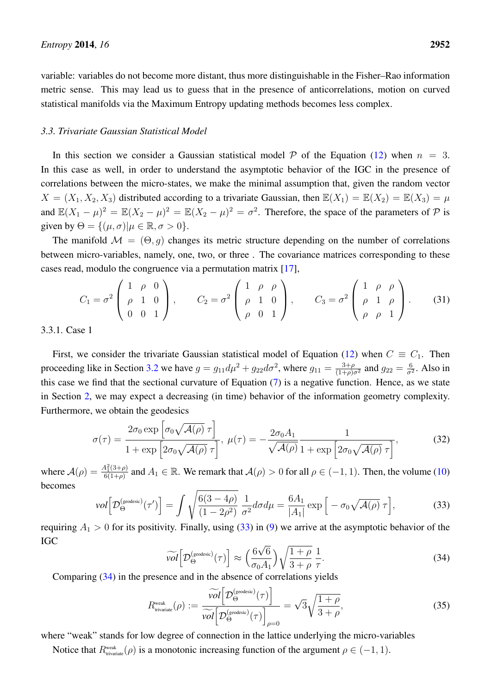variable: variables do not become more distant, thus more distinguishable in the Fisher–Rao information metric sense. This may lead us to guess that in the presence of anticorrelations, motion on curved statistical manifolds via the Maximum Entropy updating methods becomes less complex.

#### *3.3. Trivariate Gaussian Statistical Model*

In this section we consider a Gaussian statistical model  $P$  of the Equation [\(12\)](#page-4-1) when  $n = 3$ . In this case as well, in order to understand the asymptotic behavior of the IGC in the presence of correlations between the micro-states, we make the minimal assumption that, given the random vector  $X = (X_1, X_2, X_3)$  distributed according to a trivariate Gaussian, then  $\mathbb{E}(X_1) = \mathbb{E}(X_2) = \mathbb{E}(X_3) = \mu$ and  $\mathbb{E}(X_1 - \mu)^2 = \mathbb{E}(X_2 - \mu)^2 = \mathbb{E}(X_2 - \mu)^2 = \sigma^2$ . Therefore, the space of the parameters of  $\mathcal P$  is given by  $\Theta = \{(\mu, \sigma) | \mu \in \mathbb{R}, \sigma > 0\}.$ 

The manifold  $\mathcal{M} = (\Theta, q)$  changes its metric structure depending on the number of correlations between micro-variables, namely, one, two, or three . The covariance matrices corresponding to these cases read, modulo the congruence via a permutation matrix [\[17\]](#page-14-3),

$$
C_1 = \sigma^2 \begin{pmatrix} 1 & \rho & 0 \\ \rho & 1 & 0 \\ 0 & 0 & 1 \end{pmatrix}, \qquad C_2 = \sigma^2 \begin{pmatrix} 1 & \rho & \rho \\ \rho & 1 & 0 \\ \rho & 0 & 1 \end{pmatrix}, \qquad C_3 = \sigma^2 \begin{pmatrix} 1 & \rho & \rho \\ \rho & 1 & \rho \\ \rho & \rho & 1 \end{pmatrix}.
$$
 (31)

3.3.1. Case 1

First, we consider the trivariate Gaussian statistical model of Equation [\(12\)](#page-4-1) when  $C \equiv C_1$ . Then proceeding like in Section [3.2](#page-6-2) we have  $g = g_{11} d\mu^2 + g_{22} d\sigma^2$ , where  $g_{11} = \frac{3+\rho}{(1+\rho)\sigma^2}$  and  $g_{22} = \frac{6}{\sigma^2}$  $rac{6}{\sigma^2}$ . Also in this case we find that the sectional curvature of Equation [\(7\)](#page-3-0) is a negative function. Hence, as we state in Section [2,](#page-1-0) we may expect a decreasing (in time) behavior of the information geometry complexity. Furthermore, we obtain the geodesics

$$
\sigma(\tau) = \frac{2\sigma_0 \exp\left[\sigma_0 \sqrt{\mathcal{A}(\rho)} \,\tau\right]}{1 + \exp\left[2\sigma_0 \sqrt{\mathcal{A}(\rho)} \,\tau\right]}, \ \mu(\tau) = -\frac{2\sigma_0 A_1}{\sqrt{\mathcal{A}(\rho)}} \frac{1}{1 + \exp\left[2\sigma_0 \sqrt{\mathcal{A}(\rho)} \,\tau\right]},\tag{32}
$$

where  $A(\rho) = \frac{A_1^2(3+\rho)}{6(1+\rho)}$  $\frac{4^2(3+\rho)}{6(1+\rho)}$  and  $A_1 \in \mathbb{R}$ . We remark that  $\mathcal{A}(\rho) > 0$  for all  $\rho \in (-1,1)$ . Then, the volume [\(10\)](#page-3-1) becomes

<span id="page-8-0"></span>
$$
vol\left[\mathcal{D}_{\Theta}^{(\text{geodesic})}(\tau')\right] = \int \sqrt{\frac{6(3-4\rho)}{(1-2\rho^2)}} \frac{1}{\sigma^2} d\sigma d\mu = \frac{6A_1}{|A_1|} \exp\left[-\sigma_0 \sqrt{\mathcal{A}(\rho)} \,\tau\right],\tag{33}
$$

requiring  $A_1 > 0$  for its positivity. Finally, using [\(33\)](#page-8-0) in [\(9\)](#page-3-2) we arrive at the asymptotic behavior of the IGC √

<span id="page-8-1"></span>
$$
\widetilde{\text{vol}}\Big[\mathcal{D}_{\Theta}^{\text{(geodesic)}}(\tau)\Big] \approx \left(\frac{6\sqrt{6}}{\sigma_0 A_1}\right) \sqrt{\frac{1+\rho}{3+\rho}} \frac{1}{\tau}.\tag{34}
$$

Comparing [\(34\)](#page-8-1) in the presence and in the absence of correlations yields

<span id="page-8-2"></span>
$$
R_{\text{trivariate}}^{\text{weak}}(\rho) := \frac{\widetilde{vol}\Big[D_{\Theta}^{\text{(geodesic)}}(\tau)\Big]}{\widetilde{vol}\Big[D_{\Theta}^{\text{(geodesic)}}(\tau)\Big]_{\rho=0}} = \sqrt{3}\sqrt{\frac{1+\rho}{3+\rho}},\tag{35}
$$

where "weak" stands for low degree of connection in the lattice underlying the micro-variables

Notice that  $R_{\text{trivariate}}^{\text{weak}}(\rho)$  is a monotonic increasing function of the argument  $\rho \in (-1, 1)$ .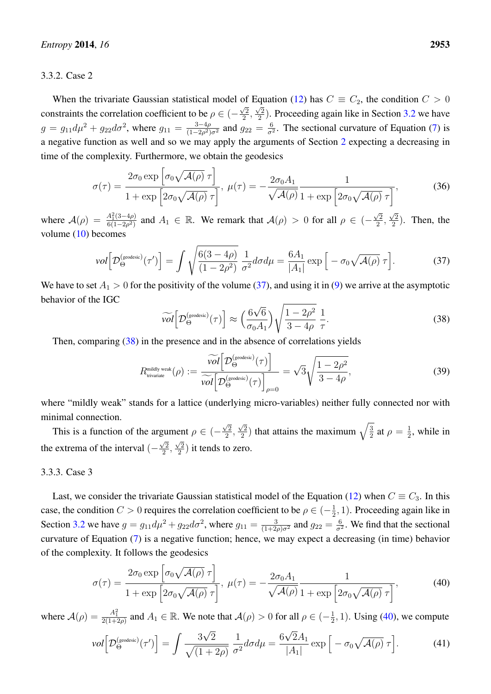#### 3.3.2. Case 2

When the trivariate Gaussian statistical model of Equation [\(12\)](#page-4-1) has  $C \equiv C_2$ , the condition  $C > 0$ constraints the correlation coefficient to be  $\rho \in (-1)$  $\sqrt{2}$  $\frac{2}{2}$  $\frac{1}{\sqrt{2}}$  $\frac{\sqrt{2}}{2}$ ). Proceeding again like in Section [3.2](#page-6-2) we have  $g = g_{11} d\mu^2 + g_{22} d\sigma^2$ , where  $g_{11} = \frac{3-4\rho}{(1-2\rho^2)}$  $\frac{3-4\rho}{(1-2\rho^2)\sigma^2}$  and  $g_{22}=\frac{6}{\sigma^2}$  $\frac{6}{\sigma^2}$ . The sectional curvature of Equation [\(7\)](#page-3-0) is a negative function as well and so we may apply the arguments of Section [2](#page-1-0) expecting a decreasing in time of the complexity. Furthermore, we obtain the geodesics

$$
\sigma(\tau) = \frac{2\sigma_0 \exp\left[\sigma_0 \sqrt{\mathcal{A}(\rho)} \,\tau\right]}{1 + \exp\left[2\sigma_0 \sqrt{\mathcal{A}(\rho)} \,\tau\right]}, \ \mu(\tau) = -\frac{2\sigma_0 A_1}{\sqrt{\mathcal{A}(\rho)}} \frac{1}{1 + \exp\left[2\sigma_0 \sqrt{\mathcal{A}(\rho)} \,\tau\right]},\tag{36}
$$

where  $A(\rho) = \frac{A_1^2(3-4\rho)}{6(1-2\rho^2)}$  $\frac{A_1^2(3-4\rho)}{6(1-2\rho^2)}$  and  $A_1 \in \mathbb{R}$ . We remark that  $\mathcal{A}(\rho) > 0$  for all  $\rho \in \left(-\frac{\sqrt{2}}{2}\right)$  $\frac{\sqrt{2}}{2},$  $\sqrt{2}$  $\frac{\sqrt{2}}{2}$ ). Then, the volume [\(10\)](#page-3-1) becomes

<span id="page-9-0"></span>
$$
vol\Big[\mathcal{D}_{\Theta}^{(geodesic)}(\tau')\Big] = \int \sqrt{\frac{6(3-4\rho)}{(1-2\rho^2)}} \, \frac{1}{\sigma^2} d\sigma d\mu = \frac{6A_1}{|A_1|} \exp\Big[-\sigma_0 \sqrt{\mathcal{A}(\rho)} \,\tau\Big].\tag{37}
$$

We have to set  $A_1 > 0$  for the positivity of the volume [\(37\)](#page-9-0), and using it in [\(9\)](#page-3-2) we arrive at the asymptotic behavior of the IGC √

<span id="page-9-1"></span>
$$
\widetilde{\text{vol}}\Big[\mathcal{D}_{\Theta}^{\text{(geodesic)}}(\tau)\Big] \approx \left(\frac{6\sqrt{6}}{\sigma_0 A_1}\right) \sqrt{\frac{1-2\rho^2}{3-4\rho}} \frac{1}{\tau}.\tag{38}
$$

Then, comparing [\(38\)](#page-9-1) in the presence and in the absence of correlations yields

<span id="page-9-4"></span>
$$
R_{\text{trivariate}}^{\text{midly weak}}(\rho) := \frac{\widetilde{vol}\bigg[D_{\Theta}^{\text{(geodesic)}}(\tau)\bigg]}{\widetilde{vol}\bigg[D_{\Theta}^{\text{(geodesic)}}(\tau)\bigg]_{\rho=0}} = \sqrt{3}\sqrt{\frac{1-2\rho^2}{3-4\rho}},\tag{39}
$$

where "mildly weak" stands for a lattice (underlying micro-variables) neither fully connected nor with minimal connection.

This is a function of the argument  $\rho \in (-1)$  $\sqrt{2}$  $\frac{2}{2}$ ,  $\sqrt{2}$  $\sqrt{\frac{2}{2}}$ ) that attains the maximum  $\sqrt{\frac{3}{2}}$  $\frac{3}{2}$  at  $\rho = \frac{1}{2}$ gument  $\rho \in \left(-\frac{\sqrt{2}}{2}, \frac{\sqrt{2}}{2}\right)$  that attains the maximum  $\sqrt{\frac{3}{2}}$  at  $\rho = \frac{1}{2}$ , while in the extrema of the interval  $\left(-\frac{\sqrt{2}}{2}\right)$  $\frac{\sqrt{2}}{2},\frac{\sqrt{2}}{2}$  $\frac{\sqrt{2}}{2}$ ) it tends to zero.

#### 3.3.3. Case 3

Last, we consider the trivariate Gaussian statistical model of the Equation [\(12\)](#page-4-1) when  $C \equiv C_3$ . In this case, the condition  $C > 0$  requires the correlation coefficient to be  $\rho \in (-\frac{1}{2})$  $\frac{1}{2}$ , 1). Proceeding again like in Section [3.2](#page-6-2) we have  $g = g_{11} d\mu^2 + g_{22} d\sigma^2$ , where  $g_{11} = \frac{3}{(1+2\rho)\sigma^2}$  and  $g_{22} = \frac{6}{\sigma^2}$  $\frac{6}{\sigma^2}$ . We find that the sectional curvature of Equation [\(7\)](#page-3-0) is a negative function; hence, we may expect a decreasing (in time) behavior of the complexity. It follows the geodesics

<span id="page-9-2"></span>
$$
\sigma(\tau) = \frac{2\sigma_0 \exp\left[\sigma_0 \sqrt{\mathcal{A}(\rho)} \,\tau\right]}{1 + \exp\left[2\sigma_0 \sqrt{\mathcal{A}(\rho)} \,\tau\right]}, \ \mu(\tau) = -\frac{2\sigma_0 A_1}{\sqrt{\mathcal{A}(\rho)}} \frac{1}{1 + \exp\left[2\sigma_0 \sqrt{\mathcal{A}(\rho)} \,\tau\right]},\tag{40}
$$

where  $\mathcal{A}(\rho) = \frac{A_1^2}{2(1+2\rho)}$  and  $A_1 \in \mathbb{R}$ . We note that  $\mathcal{A}(\rho) > 0$  for all  $\rho \in (-\frac{1}{2})$  $(\frac{1}{2}, 1)$ . Using [\(40\)](#page-9-2), we compute

<span id="page-9-3"></span>
$$
vol\Big[\mathcal{D}_{\Theta}^{(geodesic)}(\tau')\Big] = \int \frac{3\sqrt{2}}{\sqrt{(1+2\rho)}} \frac{1}{\sigma^2} d\sigma d\mu = \frac{6\sqrt{2}A_1}{|A_1|} \exp\Big[-\sigma_0 \sqrt{\mathcal{A}(\rho)} \,\tau\Big].\tag{41}
$$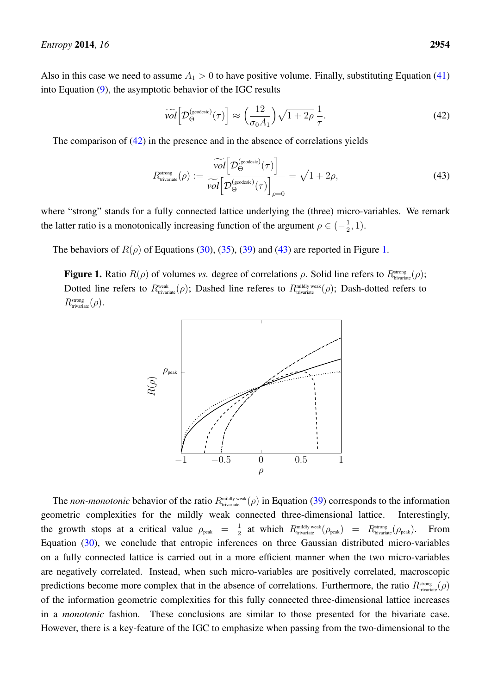Also in this case we need to assume  $A_1 > 0$  to have positive volume. Finally, substituting Equation [\(41\)](#page-9-3) into Equation [\(9\)](#page-3-2), the asymptotic behavior of the IGC results

<span id="page-10-0"></span>
$$
\widetilde{\mathit{vol}}\Big[\mathcal{D}_{\Theta}^{\text{(geodesic)}}(\tau)\Big] \approx \left(\frac{12}{\sigma_0 A_1}\right) \sqrt{1+2\rho} \frac{1}{\tau}.\tag{42}
$$

The comparison of [\(42\)](#page-10-0) in the presence and in the absence of correlations yields

<span id="page-10-1"></span>
$$
R_{\text{trivariate}}^{\text{strong}}(\rho) := \frac{\widetilde{vol} \Big[ \mathcal{D}_{\Theta}^{\text{(geodesic)}}(\tau) \Big]}{\widetilde{vol} \Big[ \mathcal{D}_{\Theta}^{\text{(geodesic)}}(\tau) \Big]_{\rho=0}} = \sqrt{1 + 2\rho},\tag{43}
$$

where "strong" stands for a fully connected lattice underlying the (three) micro-variables. We remark the latter ratio is a monotonically increasing function of the argument  $\rho \in (-\frac{1}{2})$  $\frac{1}{2}, 1$ ).

<span id="page-10-2"></span>The behaviors of  $R(\rho)$  of Equations [\(30\)](#page-7-3), [\(35\)](#page-8-2), [\(39\)](#page-9-4) and [\(43\)](#page-10-1) are reported in Figure [1.](#page-10-2)

**Figure 1.** Ratio  $R(\rho)$  of volumes *vs.* degree of correlations  $\rho$ . Solid line refers to  $R_{\text{bivariate}}^{\text{strong}}(\rho)$ ; Dotted line refers to  $R_{\text{\tiny trivariate}}^{\text{\tiny weak}}(\rho)$ ; Dashed line referes to  $R_{\text{\tiny trivariate}}^{\text{\tiny midly weak}}(\rho)$ ; Dash-dotted refers to  $R_{\text{trivariate}}^{\text{strong}}(\rho)$ .



The *non-monotonic* behavior of the ratio  $R_{\text{trivial}}^{\text{midly weak}}(\rho)$  in Equation [\(39\)](#page-9-4) corresponds to the information geometric complexities for the mildly weak connected three-dimensional lattice. Interestingly, the growth stops at a critical value  $\rho_{\text{peak}} = \frac{1}{2}$  $\frac{1}{2}$  at which  $R_{\text{trivariate}}^{\text{midly weak}}(\rho_{\text{peak}})$  =  $R_{\text{bivariate}}^{\text{strong}}(\rho_{\text{peak}})$ . From Equation [\(30\)](#page-7-3), we conclude that entropic inferences on three Gaussian distributed micro-variables on a fully connected lattice is carried out in a more efficient manner when the two micro-variables are negatively correlated. Instead, when such micro-variables are positively correlated, macroscopic predictions become more complex that in the absence of correlations. Furthermore, the ratio  $R_{\text{trivariate}}^{strong}(\rho)$ of the information geometric complexities for this fully connected three-dimensional lattice increases in a *monotonic* fashion. These conclusions are similar to those presented for the bivariate case. However, there is a key-feature of the IGC to emphasize when passing from the two-dimensional to the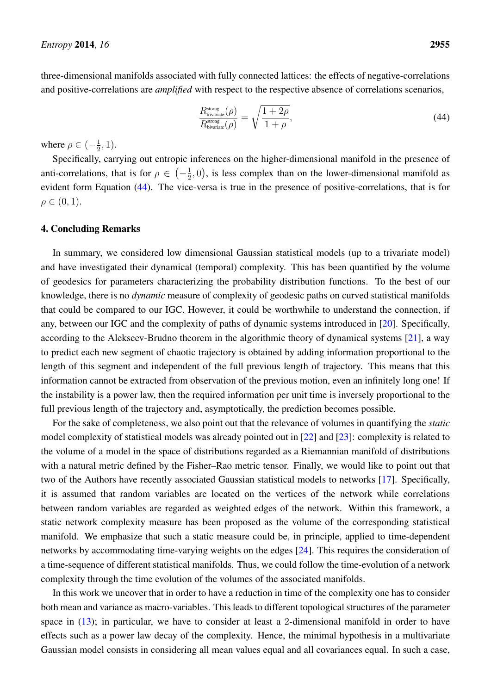three-dimensional manifolds associated with fully connected lattices: the effects of negative-correlations and positive-correlations are *amplified* with respect to the respective absence of correlations scenarios,

<span id="page-11-1"></span>
$$
\frac{R_{\text{trivariate}}^{\text{strong}}(\rho)}{R_{\text{bivariate}}^{\text{strong}}(\rho)} = \sqrt{\frac{1+2\rho}{1+\rho}},\tag{44}
$$

where  $\rho \in (-\frac{1}{2})$  $(\frac{1}{2}, 1).$ 

Specifically, carrying out entropic inferences on the higher-dimensional manifold in the presence of anti-correlations, that is for  $\rho \in \left(-\frac{1}{2}\right)$  $(\frac{1}{2}, 0)$ , is less complex than on the lower-dimensional manifold as evident form Equation [\(44\)](#page-11-1). The vice-versa is true in the presence of positive-correlations, that is for  $\rho \in (0, 1).$ 

#### <span id="page-11-0"></span>4. Concluding Remarks

In summary, we considered low dimensional Gaussian statistical models (up to a trivariate model) and have investigated their dynamical (temporal) complexity. This has been quantified by the volume of geodesics for parameters characterizing the probability distribution functions. To the best of our knowledge, there is no *dynamic* measure of complexity of geodesic paths on curved statistical manifolds that could be compared to our IGC. However, it could be worthwhile to understand the connection, if any, between our IGC and the complexity of paths of dynamic systems introduced in [\[20\]](#page-14-4). Specifically, according to the Alekseev-Brudno theorem in the algorithmic theory of dynamical systems [\[21\]](#page-14-5), a way to predict each new segment of chaotic trajectory is obtained by adding information proportional to the length of this segment and independent of the full previous length of trajectory. This means that this information cannot be extracted from observation of the previous motion, even an infinitely long one! If the instability is a power law, then the required information per unit time is inversely proportional to the full previous length of the trajectory and, asymptotically, the prediction becomes possible.

For the sake of completeness, we also point out that the relevance of volumes in quantifying the *static* model complexity of statistical models was already pointed out in [\[22\]](#page-14-6) and [\[23\]](#page-14-7): complexity is related to the volume of a model in the space of distributions regarded as a Riemannian manifold of distributions with a natural metric defined by the Fisher–Rao metric tensor. Finally, we would like to point out that two of the Authors have recently associated Gaussian statistical models to networks [\[17\]](#page-14-3). Specifically, it is assumed that random variables are located on the vertices of the network while correlations between random variables are regarded as weighted edges of the network. Within this framework, a static network complexity measure has been proposed as the volume of the corresponding statistical manifold. We emphasize that such a static measure could be, in principle, applied to time-dependent networks by accommodating time-varying weights on the edges [\[24\]](#page-14-8). This requires the consideration of a time-sequence of different statistical manifolds. Thus, we could follow the time-evolution of a network complexity through the time evolution of the volumes of the associated manifolds.

In this work we uncover that in order to have a reduction in time of the complexity one has to consider both mean and variance as macro-variables. This leads to different topological structures of the parameter space in  $(13)$ ; in particular, we have to consider at least a 2-dimensional manifold in order to have effects such as a power law decay of the complexity. Hence, the minimal hypothesis in a multivariate Gaussian model consists in considering all mean values equal and all covariances equal. In such a case,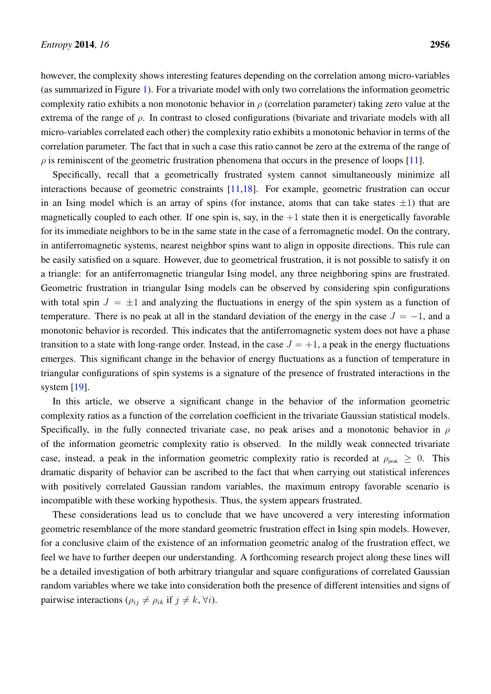however, the complexity shows interesting features depending on the correlation among micro-variables (as summarized in Figure [1\)](#page-10-2). For a trivariate model with only two correlations the information geometric complexity ratio exhibits a non monotonic behavior in  $\rho$  (correlation parameter) taking zero value at the extrema of the range of  $\rho$ . In contrast to closed configurations (bivariate and trivariate models with all micro-variables correlated each other) the complexity ratio exhibits a monotonic behavior in terms of the correlation parameter. The fact that in such a case this ratio cannot be zero at the extrema of the range of  $\rho$  is reminiscent of the geometric frustration phenomena that occurs in the presence of loops [\[11\]](#page-13-10).

Specifically, recall that a geometrically frustrated system cannot simultaneously minimize all interactions because of geometric constraints [\[11,](#page-13-10)[18\]](#page-14-9). For example, geometric frustration can occur in an Ising model which is an array of spins (for instance, atoms that can take states  $\pm 1$ ) that are magnetically coupled to each other. If one spin is, say, in the  $+1$  state then it is energetically favorable for its immediate neighbors to be in the same state in the case of a ferromagnetic model. On the contrary, in antiferromagnetic systems, nearest neighbor spins want to align in opposite directions. This rule can be easily satisfied on a square. However, due to geometrical frustration, it is not possible to satisfy it on a triangle: for an antiferromagnetic triangular Ising model, any three neighboring spins are frustrated. Geometric frustration in triangular Ising models can be observed by considering spin configurations with total spin  $J = \pm 1$  and analyzing the fluctuations in energy of the spin system as a function of temperature. There is no peak at all in the standard deviation of the energy in the case  $J = -1$ , and a monotonic behavior is recorded. This indicates that the antiferromagnetic system does not have a phase transition to a state with long-range order. Instead, in the case  $J = +1$ , a peak in the energy fluctuations emerges. This significant change in the behavior of energy fluctuations as a function of temperature in triangular configurations of spin systems is a signature of the presence of frustrated interactions in the system [\[19\]](#page-14-10).

In this article, we observe a significant change in the behavior of the information geometric complexity ratios as a function of the correlation coefficient in the trivariate Gaussian statistical models. Specifically, in the fully connected trivariate case, no peak arises and a monotonic behavior in  $\rho$ of the information geometric complexity ratio is observed. In the mildly weak connected trivariate case, instead, a peak in the information geometric complexity ratio is recorded at  $\rho_{\text{peak}} \geq 0$ . This dramatic disparity of behavior can be ascribed to the fact that when carrying out statistical inferences with positively correlated Gaussian random variables, the maximum entropy favorable scenario is incompatible with these working hypothesis. Thus, the system appears frustrated.

These considerations lead us to conclude that we have uncovered a very interesting information geometric resemblance of the more standard geometric frustration effect in Ising spin models. However, for a conclusive claim of the existence of an information geometric analog of the frustration effect, we feel we have to further deepen our understanding. A forthcoming research project along these lines will be a detailed investigation of both arbitrary triangular and square configurations of correlated Gaussian random variables where we take into consideration both the presence of different intensities and signs of pairwise interactions ( $\rho_{ij} \neq \rho_{ik}$  if  $j \neq k$ ,  $\forall i$ ).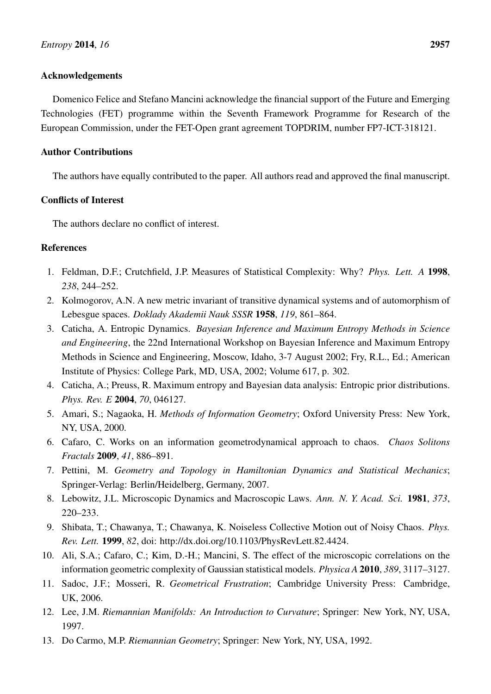### Acknowledgements

Domenico Felice and Stefano Mancini acknowledge the financial support of the Future and Emerging Technologies (FET) programme within the Seventh Framework Programme for Research of the European Commission, under the FET-Open grant agreement TOPDRIM, number FP7-ICT-318121.

# Author Contributions

The authors have equally contributed to the paper. All authors read and approved the final manuscript.

# Conflicts of Interest

The authors declare no conflict of interest.

# **References**

- <span id="page-13-0"></span>1. Feldman, D.F.; Crutchfield, J.P. Measures of Statistical Complexity: Why? *Phys. Lett. A* 1998, *238*, 244–252.
- <span id="page-13-1"></span>2. Kolmogorov, A.N. A new metric invariant of transitive dynamical systems and of automorphism of Lebesgue spaces. *Doklady Akademii Nauk SSSR* 1958, *119*, 861–864.
- <span id="page-13-2"></span>3. Caticha, A. Entropic Dynamics. *Bayesian Inference and Maximum Entropy Methods in Science and Engineering*, the 22nd International Workshop on Bayesian Inference and Maximum Entropy Methods in Science and Engineering, Moscow, Idaho, 3-7 August 2002; Fry, R.L., Ed.; American Institute of Physics: College Park, MD, USA, 2002; Volume 617, p. 302.
- <span id="page-13-3"></span>4. Caticha, A.; Preuss, R. Maximum entropy and Bayesian data analysis: Entropic prior distributions. *Phys. Rev. E* 2004, *70*, 046127.
- <span id="page-13-4"></span>5. Amari, S.; Nagaoka, H. *Methods of Information Geometry*; Oxford University Press: New York, NY, USA, 2000.
- <span id="page-13-5"></span>6. Cafaro, C. Works on an information geometrodynamical approach to chaos. *Chaos Solitons Fractals* 2009, *41*, 886–891.
- <span id="page-13-6"></span>7. Pettini, M. *Geometry and Topology in Hamiltonian Dynamics and Statistical Mechanics*; Springer-Verlag: Berlin/Heidelberg, Germany, 2007.
- <span id="page-13-7"></span>8. Lebowitz, J.L. Microscopic Dynamics and Macroscopic Laws. *Ann. N. Y. Acad. Sci.* 1981, *373*, 220–233.
- <span id="page-13-8"></span>9. Shibata, T.; Chawanya, T.; Chawanya, K. Noiseless Collective Motion out of Noisy Chaos. *Phys. Rev. Lett.* 1999, *82*, doi: http://dx.doi.org/10.1103/PhysRevLett.82.4424.
- <span id="page-13-9"></span>10. Ali, S.A.; Cafaro, C.; Kim, D.-H.; Mancini, S. The effect of the microscopic correlations on the information geometric complexity of Gaussian statistical models. *Physica A* 2010, *389*, 3117–3127.
- <span id="page-13-10"></span>11. Sadoc, J.F.; Mosseri, R. *Geometrical Frustration*; Cambridge University Press: Cambridge, UK, 2006.
- <span id="page-13-11"></span>12. Lee, J.M. *Riemannian Manifolds: An Introduction to Curvature*; Springer: New York, NY, USA, 1997.
- <span id="page-13-12"></span>13. Do Carmo, M.P. *Riemannian Geometry*; Springer: New York, NY, USA, 1992.